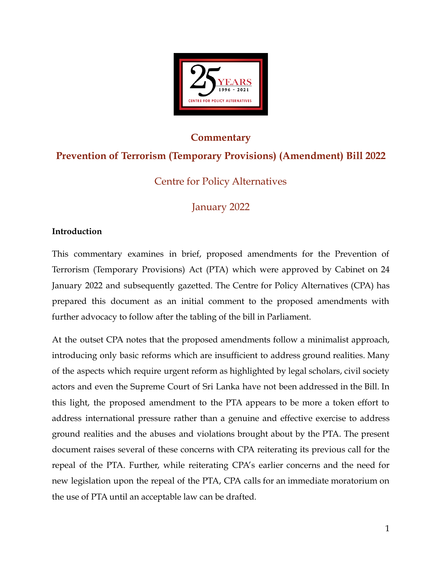

# **Commentary Prevention of Terrorism (Temporary Provisions) (Amendment) Bill 2022**

# Centre for Policy Alternatives

January 2022

## **Introduction**

This commentary examines in brief, proposed amendments for the Prevention of Terrorism (Temporary Provisions) Act (PTA) which were approved by Cabinet on 24 January 2022 and subsequently gazetted. The Centre for Policy Alternatives (CPA) has prepared this document as an initial comment to the proposed amendments with further advocacy to follow after the tabling of the bill in Parliament.

At the outset CPA notes that the proposed amendments follow a minimalist approach, introducing only basic reforms which are insufficient to address ground realities. Many of the aspects which require urgent reform as highlighted by legal scholars, civil society actors and even the Supreme Court of Sri Lanka have not been addressed in the Bill. In this light, the proposed amendment to the PTA appears to be more a token effort to address international pressure rather than a genuine and effective exercise to address ground realities and the abuses and violations brought about by the PTA. The present document raises several of these concerns with CPA reiterating its previous call for the repeal of the PTA. Further, while reiterating CPA's earlier concerns and the need for new legislation upon the repeal of the PTA, CPA calls for an immediate moratorium on the use of PTA until an acceptable law can be drafted.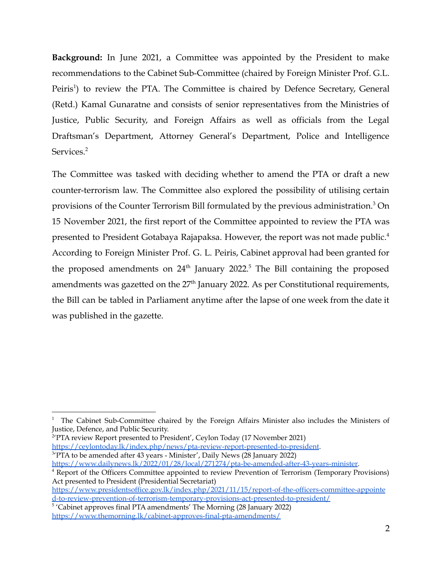**Background:** In June 2021, a Committee was appointed by the President to make recommendations to the Cabinet Sub-Committee (chaired by Foreign Minister Prof. G.L. Peiris<sup>1</sup>) to review the PTA. The Committee is chaired by Defence Secretary, General (Retd.) Kamal Gunaratne and consists of senior representatives from the Ministries of Justice, Public Security, and Foreign Affairs as well as officials from the Legal Draftsman's Department, Attorney General's Department, Police and Intelligence Services<sup>2</sup>

The Committee was tasked with deciding whether to amend the PTA or draft a new counter-terrorism law. The Committee also explored the possibility of utilising certain provisions of the Counter Terrorism Bill formulated by the previous administration.<sup>3</sup> On 15 November 2021, the first report of the Committee appointed to review the PTA was presented to President Gotabaya Rajapaksa. However, the report was not made public.<sup>4</sup> According to Foreign Minister Prof. G. L. Peiris, Cabinet approval had been granted for the proposed amendments on  $24<sup>th</sup>$  January 2022.<sup>5</sup> The Bill containing the proposed amendments was gazetted on the  $27<sup>th</sup>$  January 2022. As per Constitutional requirements, the Bill can be tabled in Parliament anytime after the lapse of one week from the date it was published in the gazette.

<sup>3</sup><sup>T</sup>TA to be amended after 43 years - Minister', Daily News (28 January 2022)  $^{2}$ PTA review Report presented to President', Ceylon Today (17 November 2021) <https://ceylontoday.lk/index.php/news/pta-review-report-presented-to-president>.

<sup>4</sup> Report of the Officers Committee appointed to review Prevention of Terrorism (Temporary Provisions) Act presented to President (Presidential Secretariat) [https://www.dailynews.lk/2022/01/28/local/271274/pta-be-amended-after-43-years-minister.](https://www.dailynews.lk/2022/01/28/local/271274/pta-be-amended-after-43-years-minister)

[https://www.presidentsoffice.gov.lk/index.php/2021/11/15/report-of-the-officers-committee-appointe](https://www.presidentsoffice.gov.lk/index.php/2021/11/15/report-of-the-officers-committee-appointed-to-review-prevention-of-terrorism-temporary-provisions-act-presented-to-president/) [d-to-review-prevention-of-terrorism-temporary-provisions-act-presented-to-president/](https://www.presidentsoffice.gov.lk/index.php/2021/11/15/report-of-the-officers-committee-appointed-to-review-prevention-of-terrorism-temporary-provisions-act-presented-to-president/)

 $1$  The Cabinet Sub-Committee chaired by the Foreign Affairs Minister also includes the Ministers of Justice, Defence, and Public Security.

<sup>&</sup>lt;sup>5</sup> 'Cabinet approves final PTA amendments' The Morning (28 January 2022) <https://www.themorning.lk/cabinet-approves-final-pta-amendments/>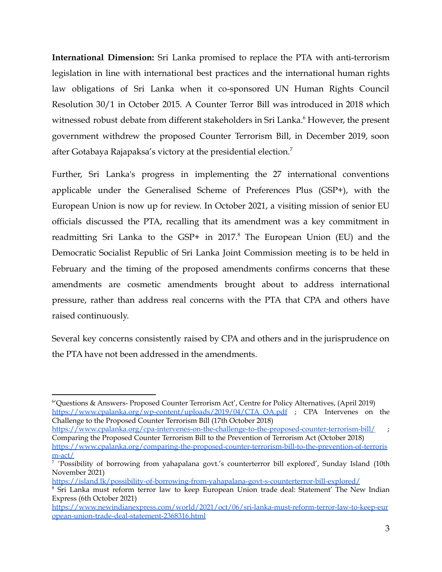**International Dimension:** Sri Lanka promised to replace the PTA with anti-terrorism legislation in line with international best practices and the international human rights law obligations of Sri Lanka when it co-sponsored UN Human Rights Council Resolution 30/1 in October 2015. A Counter Terror Bill was introduced in 2018 which witnessed robust debate from different stakeholders in Sri Lanka.<sup>6</sup> However, the present government withdrew the proposed Counter Terrorism Bill, in December 2019, soon after Gotabaya Rajapaksa's victory at the presidential election.<sup>7</sup>

Further, Sri Lanka's progress in implementing the 27 international conventions applicable under the Generalised Scheme of Preferences Plus (GSP+), with the European Union is now up for review. In October 2021, a visiting mission of senior EU officials discussed the PTA, recalling that its amendment was a key commitment in readmitting Sri Lanka to the  $GSP+$  in 2017.<sup>8</sup> The European Union (EU) and the Democratic Socialist Republic of Sri Lanka Joint Commission meeting is to be held in February and the timing of the proposed amendments confirms concerns that these amendments are cosmetic amendments brought about to address international pressure, rather than address real concerns with the PTA that CPA and others have raised continuously.

Several key concerns consistently raised by CPA and others and in the jurisprudence on the PTA have not been addressed in the amendments.

<https://island.lk/possibility-of-borrowing-from-yahapalana-govt-s-counterterror-bill-explored/>

<sup>6</sup> 'Questions & Answers- Proposed Counter Terrorism Act', Centre for Policy Alternatives, (April 2019) [https://www.cpalanka.org/wp-content/uploads/2019/04/CTA\\_QA.pdf](https://www.cpalanka.org/wp-content/uploads/2019/04/CTA_QA.pdf) ; CPA Intervenes on the Challenge to the Proposed Counter Terrorism Bill (17th October 2018)

<https://www.cpalanka.org/cpa-intervenes-on-the-challenge-to-the-proposed-counter-terrorism-bill/> Comparing the Proposed Counter Terrorism Bill to the Prevention of Terrorism Act (October 2018) [https://www.cpalanka.org/comparing-the-proposed-counter-terrorism-bill-to-the-prevention-of-terroris](https://www.cpalanka.org/comparing-the-proposed-counter-terrorism-bill-to-the-prevention-of-terrorism-act/) [m-act/](https://www.cpalanka.org/comparing-the-proposed-counter-terrorism-bill-to-the-prevention-of-terrorism-act/)

<sup>&</sup>lt;sup>7</sup> 'Possibility of borrowing from yahapalana govt.'s counterterror bill explored', Sunday Island (10th November 2021)

<sup>&</sup>lt;sup>8</sup> Sri Lanka must reform terror law to keep European Union trade deal: Statement' The New Indian Express (6th October 2021)

[https://www.newindianexpress.com/world/2021/oct/06/sri-lanka-must-reform-terror-law-to-keep-eur](https://www.newindianexpress.com/world/2021/oct/06/sri-lanka-must-reform-terror-law-to-keep-european-union-trade-deal-statement-2368316.html) [opean-union-trade-deal-statement-2368316.html](https://www.newindianexpress.com/world/2021/oct/06/sri-lanka-must-reform-terror-law-to-keep-european-union-trade-deal-statement-2368316.html)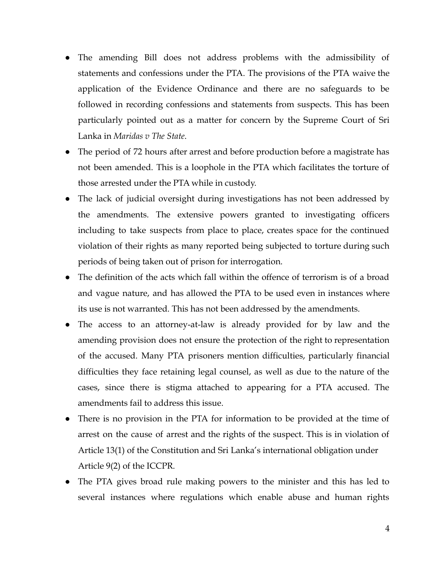- The amending Bill does not address problems with the admissibility of statements and confessions under the PTA. The provisions of the PTA waive the application of the Evidence Ordinance and there are no safeguards to be followed in recording confessions and statements from suspects. This has been particularly pointed out as a matter for concern by the Supreme Court of Sri Lanka in *Maridas v The State*.
- The period of 72 hours after arrest and before production before a magistrate has not been amended. This is a loophole in the PTA which facilitates the torture of those arrested under the PTA while in custody.
- The lack of judicial oversight during investigations has not been addressed by the amendments. The extensive powers granted to investigating officers including to take suspects from place to place, creates space for the continued violation of their rights as many reported being subjected to torture during such periods of being taken out of prison for interrogation.
- The definition of the acts which fall within the offence of terrorism is of a broad and vague nature, and has allowed the PTA to be used even in instances where its use is not warranted. This has not been addressed by the amendments.
- The access to an attorney-at-law is already provided for by law and the amending provision does not ensure the protection of the right to representation of the accused. Many PTA prisoners mention difficulties, particularly financial difficulties they face retaining legal counsel, as well as due to the nature of the cases, since there is stigma attached to appearing for a PTA accused. The amendments fail to address this issue.
- There is no provision in the PTA for information to be provided at the time of arrest on the cause of arrest and the rights of the suspect. This is in violation of Article 13(1) of the Constitution and Sri Lanka's international obligation under Article 9(2) of the ICCPR.
- The PTA gives broad rule making powers to the minister and this has led to several instances where regulations which enable abuse and human rights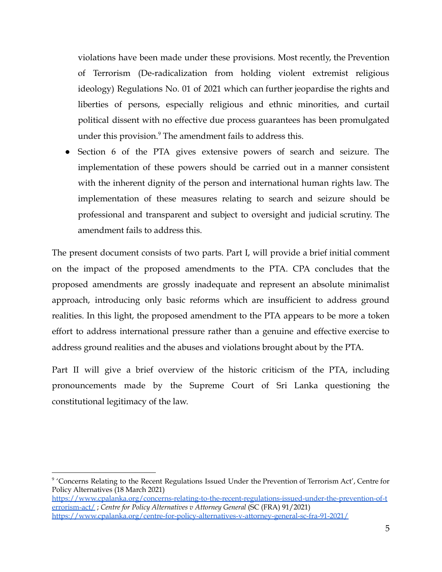violations have been made under these provisions. Most recently, the Prevention of Terrorism (De-radicalization from holding violent extremist religious ideology) Regulations No. 01 of 2021 which can further jeopardise the rights and liberties of persons, especially religious and ethnic minorities, and curtail political dissent with no effective due process guarantees has been promulgated under this provision.<sup>9</sup> The amendment fails to address this.

Section 6 of the PTA gives extensive powers of search and seizure. The implementation of these powers should be carried out in a manner consistent with the inherent dignity of the person and international human rights law. The implementation of these measures relating to search and seizure should be professional and transparent and subject to oversight and judicial scrutiny. The amendment fails to address this.

The present document consists of two parts. Part I, will provide a brief initial comment on the impact of the proposed amendments to the PTA. CPA concludes that the proposed amendments are grossly inadequate and represent an absolute minimalist approach, introducing only basic reforms which are insufficient to address ground realities. In this light, the proposed amendment to the PTA appears to be more a token effort to address international pressure rather than a genuine and effective exercise to address ground realities and the abuses and violations brought about by the PTA.

Part II will give a brief overview of the historic criticism of the PTA, including pronouncements made by the Supreme Court of Sri Lanka questioning the constitutional legitimacy of the law.

<sup>9</sup> 'Concerns Relating to the Recent Regulations Issued Under the Prevention of Terrorism Act', Centre for Policy Alternatives (18 March 2021) [https://www.cpalanka.org/concerns-relating-to-the-recent-regulations-issued-under-the-prevention-of-t](https://www.cpalanka.org/concerns-relating-to-the-recent-regulations-issued-under-the-prevention-of-terrorism-act/) [errorism-act/](https://www.cpalanka.org/concerns-relating-to-the-recent-regulations-issued-under-the-prevention-of-terrorism-act/) ; *Centre for Policy Alternatives v Attorney General* (SC (FRA) 91/2021) <https://www.cpalanka.org/centre-for-policy-alternatives-v-attorney-general-sc-fra-91-2021/>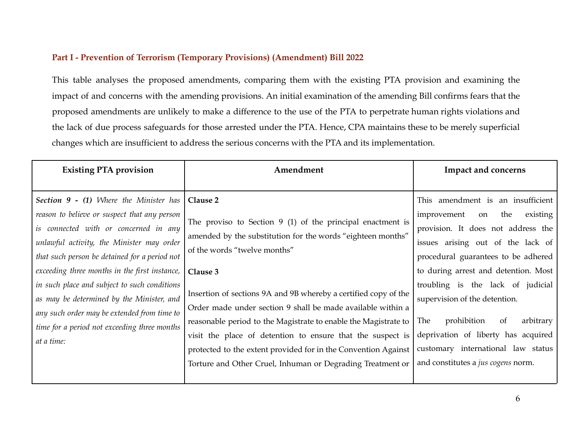### **Part I - Prevention of Terrorism (Temporary Provisions) (Amendment) Bill 2022**

This table analyses the proposed amendments, comparing them with the existing PTA provision and examining the impact of and concerns with the amending provisions. An initial examination of the amending Bill confirms fears that the proposed amendments are unlikely to make a difference to the use of the PTA to perpetrate human rights violations and the lack of due process safeguards for those arrested under the PTA. Hence, CPA maintains these to be merely superficial changes which are insufficient to address the serious concerns with the PTA and its implementation.

| <b>Existing PTA provision</b>                                                                                                                                                                                                                                                                                                                                                                                                                                                                   | Amendment                                                                                                                                                                                                                                                                                                                                                                                                                                                                                                                                                                              | <b>Impact and concerns</b>                                                                                                                                                                                                                                                                                                                                                                                                                                                   |
|-------------------------------------------------------------------------------------------------------------------------------------------------------------------------------------------------------------------------------------------------------------------------------------------------------------------------------------------------------------------------------------------------------------------------------------------------------------------------------------------------|----------------------------------------------------------------------------------------------------------------------------------------------------------------------------------------------------------------------------------------------------------------------------------------------------------------------------------------------------------------------------------------------------------------------------------------------------------------------------------------------------------------------------------------------------------------------------------------|------------------------------------------------------------------------------------------------------------------------------------------------------------------------------------------------------------------------------------------------------------------------------------------------------------------------------------------------------------------------------------------------------------------------------------------------------------------------------|
| <b>Section 9 - (1)</b> Where the Minister has<br>reason to believe or suspect that any person<br>is connected with or concerned in any<br>unlawful activity, the Minister may order<br>that such person be detained for a period not<br>exceeding three months in the first instance,<br>in such place and subject to such conditions<br>as may be determined by the Minister, and<br>any such order may be extended from time to<br>time for a period not exceeding three months<br>at a time: | Clause 2<br>The proviso to Section 9 $(1)$ of the principal enactment is<br>amended by the substitution for the words "eighteen months"<br>of the words "twelve months"<br>Clause 3<br>Insertion of sections 9A and 9B whereby a certified copy of the<br>Order made under section 9 shall be made available within a<br>reasonable period to the Magistrate to enable the Magistrate to<br>visit the place of detention to ensure that the suspect is<br>protected to the extent provided for in the Convention Against<br>Torture and Other Cruel, Inhuman or Degrading Treatment or | This amendment is an insufficient<br>improvement<br>the<br>existing<br>on<br>provision. It does not address the<br>issues arising out of the lack of<br>procedural guarantees to be adhered<br>to during arrest and detention. Most<br>troubling is the lack of judicial<br>supervision of the detention.<br>prohibition<br>The<br>arbitrary<br>of<br>deprivation of liberty has acquired<br>customary international law status<br>and constitutes a <i>jus cogens</i> norm. |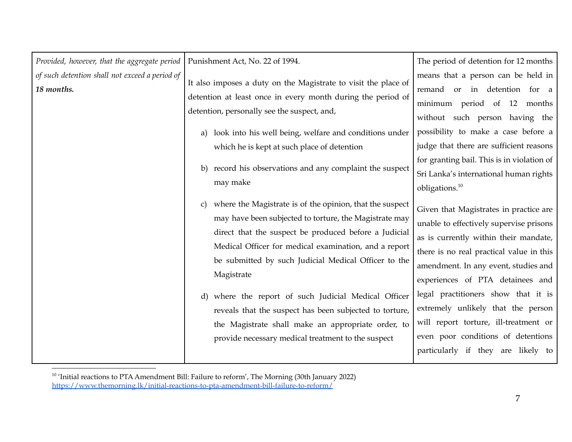| Provided, however, that the aggregate period                 | Punishment Act, No. 22 of 1994.                                                                                                                                                                                                                                                             | The period of detention for 12 months                                                                                                                                                                                 |
|--------------------------------------------------------------|---------------------------------------------------------------------------------------------------------------------------------------------------------------------------------------------------------------------------------------------------------------------------------------------|-----------------------------------------------------------------------------------------------------------------------------------------------------------------------------------------------------------------------|
| of such detention shall not exceed a period of<br>18 months. | It also imposes a duty on the Magistrate to visit the place of<br>detention at least once in every month during the period of<br>detention, personally see the suspect, and,<br>look into his well being, welfare and conditions under<br>a)<br>which he is kept at such place of detention | means that a person can be held in<br>remand or in detention for a<br>minimum period of 12 months<br>without such person having the<br>possibility to make a case before a<br>judge that there are sufficient reasons |
|                                                              | b) record his observations and any complaint the suspect<br>may make<br>where the Magistrate is of the opinion, that the suspect                                                                                                                                                            | for granting bail. This is in violation of<br>Sri Lanka's international human rights<br>obligations. <sup>10</sup><br>Given that Magistrates in practice are                                                          |
|                                                              | may have been subjected to torture, the Magistrate may<br>direct that the suspect be produced before a Judicial<br>Medical Officer for medical examination, and a report<br>be submitted by such Judicial Medical Officer to the<br>Magistrate                                              | unable to effectively supervise prisons<br>as is currently within their mandate,<br>there is no real practical value in this<br>amendment. In any event, studies and<br>experiences of PTA detainees and              |
|                                                              | d) where the report of such Judicial Medical Officer<br>reveals that the suspect has been subjected to torture,<br>the Magistrate shall make an appropriate order, to<br>provide necessary medical treatment to the suspect                                                                 | legal practitioners show that it is<br>extremely unlikely that the person<br>will report torture, ill-treatment or<br>even poor conditions of detentions<br>particularly if they are likely to                        |

<sup>&</sup>lt;sup>10</sup> 'Initial reactions to PTA Amendment Bill: Failure to reform', The Morning (30th January 2022) <https://www.themorning.lk/initial-reactions-to-pta-amendment-bill-failure-to-reform/>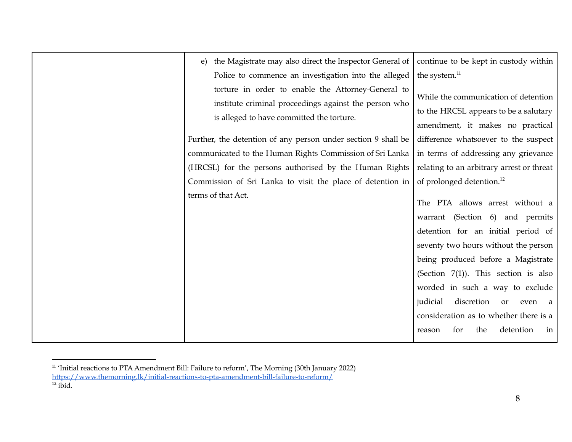| the Magistrate may also direct the Inspector General of<br>e)                                                                                                                                                                                                                         | continue to be kept in custody within                                                                                                                                                                                                                                                                                                                                                                    |
|---------------------------------------------------------------------------------------------------------------------------------------------------------------------------------------------------------------------------------------------------------------------------------------|----------------------------------------------------------------------------------------------------------------------------------------------------------------------------------------------------------------------------------------------------------------------------------------------------------------------------------------------------------------------------------------------------------|
| Police to commence an investigation into the alleged                                                                                                                                                                                                                                  | the system. <sup>11</sup>                                                                                                                                                                                                                                                                                                                                                                                |
| torture in order to enable the Attorney-General to<br>institute criminal proceedings against the person who<br>is alleged to have committed the torture.<br>Further, the detention of any person under section 9 shall be<br>communicated to the Human Rights Commission of Sri Lanka | While the communication of detention<br>to the HRCSL appears to be a salutary<br>amendment, it makes no practical<br>difference whatsoever to the suspect<br>in terms of addressing any grievance                                                                                                                                                                                                        |
| (HRCSL) for the persons authorised by the Human Rights                                                                                                                                                                                                                                | relating to an arbitrary arrest or threat                                                                                                                                                                                                                                                                                                                                                                |
| Commission of Sri Lanka to visit the place of detention in                                                                                                                                                                                                                            | of prolonged detention. <sup>12</sup>                                                                                                                                                                                                                                                                                                                                                                    |
| terms of that Act.                                                                                                                                                                                                                                                                    | The PTA allows arrest without a<br>warrant (Section 6) and permits<br>detention for an initial period of<br>seventy two hours without the person<br>being produced before a Magistrate<br>(Section $7(1)$ ). This section is also<br>worded in such a way to exclude<br>discretion<br>judicial<br>or<br>even<br>a a<br>consideration as to whether there is a<br>the<br>detention<br>for<br>reason<br>in |

<sup>&</sup>lt;sup>11</sup> 'Initial reactions to PTA Amendment Bill: Failure to reform', The Morning (30th January 2022) <https://www.themorning.lk/initial-reactions-to-pta-amendment-bill-failure-to-reform/>

 $12$  ibid.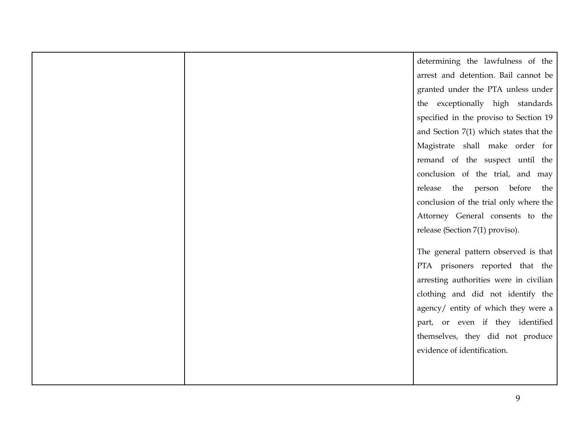|  | determining the lawfulness of the      |
|--|----------------------------------------|
|  | arrest and detention. Bail cannot be   |
|  | granted under the PTA unless under     |
|  | the exceptionally high standards       |
|  | specified in the proviso to Section 19 |
|  | and Section 7(1) which states that the |
|  | Magistrate shall make order for        |
|  | remand of the suspect until the        |
|  | conclusion of the trial, and may       |
|  | release the person before the          |
|  | conclusion of the trial only where the |
|  | Attorney General consents to the       |
|  | release (Section 7(1) proviso).        |
|  | The general pattern observed is that   |
|  |                                        |
|  | PTA prisoners reported that the        |
|  | arresting authorities were in civilian |
|  | clothing and did not identify the      |
|  | agency/ entity of which they were a    |
|  | part, or even if they identified       |
|  | themselves, they did not produce       |
|  | evidence of identification.            |
|  |                                        |
|  |                                        |
|  |                                        |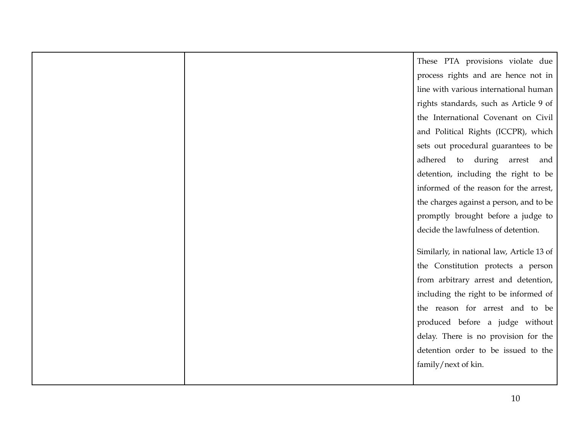|  | These PTA provisions violate due          |
|--|-------------------------------------------|
|  | process rights and are hence not in       |
|  | line with various international human     |
|  | rights standards, such as Article 9 of    |
|  | the International Covenant on Civil       |
|  | and Political Rights (ICCPR), which       |
|  | sets out procedural guarantees to be      |
|  | adhered to during arrest and              |
|  | detention, including the right to be      |
|  | informed of the reason for the arrest,    |
|  | the charges against a person, and to be   |
|  | promptly brought before a judge to        |
|  | decide the lawfulness of detention.       |
|  |                                           |
|  | Similarly, in national law, Article 13 of |
|  | the Constitution protects a person        |
|  | from arbitrary arrest and detention,      |
|  | including the right to be informed of     |
|  | the reason for arrest and to be           |
|  | produced before a judge without           |
|  | delay. There is no provision for the      |
|  | detention order to be issued to the       |
|  | family/next of kin.                       |
|  |                                           |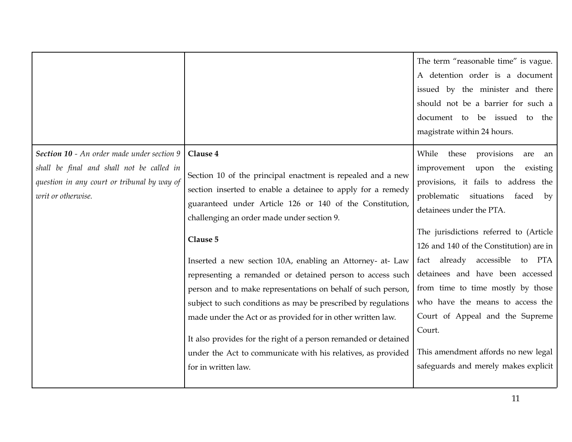|                                                                                                                                                              |                                                                                                                                                                                                                                                                                                                                                                                                                                                                                                                                                                                                                                                                                                                                                   | The term "reasonable time" is vague.<br>A detention order is a document<br>issued by the minister and there<br>should not be a barrier for such a<br>document to be issued to the<br>magistrate within 24 hours.                                                                                                                                                                                                                                                                                                                                             |
|--------------------------------------------------------------------------------------------------------------------------------------------------------------|---------------------------------------------------------------------------------------------------------------------------------------------------------------------------------------------------------------------------------------------------------------------------------------------------------------------------------------------------------------------------------------------------------------------------------------------------------------------------------------------------------------------------------------------------------------------------------------------------------------------------------------------------------------------------------------------------------------------------------------------------|--------------------------------------------------------------------------------------------------------------------------------------------------------------------------------------------------------------------------------------------------------------------------------------------------------------------------------------------------------------------------------------------------------------------------------------------------------------------------------------------------------------------------------------------------------------|
| Section 10 - An order made under section 9<br>shall be final and shall not be called in<br>question in any court or tribunal by way of<br>writ or otherwise. | Clause 4<br>Section 10 of the principal enactment is repealed and a new<br>section inserted to enable a detainee to apply for a remedy<br>guaranteed under Article 126 or 140 of the Constitution,<br>challenging an order made under section 9.<br>Clause 5<br>Inserted a new section 10A, enabling an Attorney- at- Law<br>representing a remanded or detained person to access such<br>person and to make representations on behalf of such person,<br>subject to such conditions as may be prescribed by regulations<br>made under the Act or as provided for in other written law.<br>It also provides for the right of a person remanded or detained<br>under the Act to communicate with his relatives, as provided<br>for in written law. | While<br>these provisions<br>are<br>an<br>improvement upon the<br>existing<br>provisions, it fails to address the<br>problematic<br>situations<br>faced<br>by<br>detainees under the PTA.<br>The jurisdictions referred to (Article<br>126 and 140 of the Constitution) are in<br>fact already accessible<br>to PTA<br>detainees and have been accessed<br>from time to time mostly by those<br>who have the means to access the<br>Court of Appeal and the Supreme<br>Court.<br>This amendment affords no new legal<br>safeguards and merely makes explicit |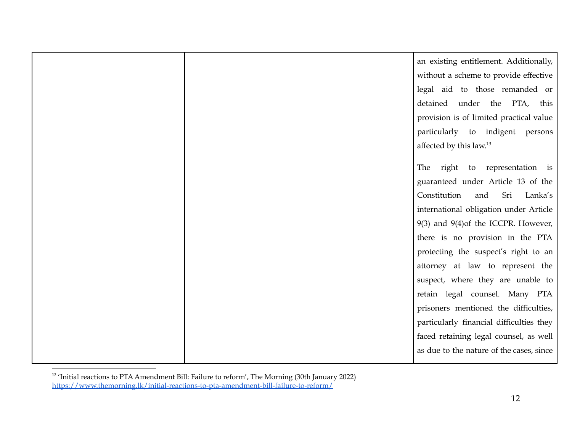|  | an existing entitlement. Additionally,   |
|--|------------------------------------------|
|  | without a scheme to provide effective    |
|  | legal aid to those remanded or           |
|  | detained under the PTA, this             |
|  | provision is of limited practical value  |
|  | particularly to indigent persons         |
|  | affected by this law. <sup>13</sup>      |
|  | right to representation is<br>The        |
|  | guaranteed under Article 13 of the       |
|  | Constitution<br>Sri<br>Lanka's<br>and    |
|  | international obligation under Article   |
|  | 9(3) and 9(4) of the ICCPR. However,     |
|  | there is no provision in the PTA         |
|  | protecting the suspect's right to an     |
|  | attorney at law to represent the         |
|  | suspect, where they are unable to        |
|  | retain legal counsel. Many PTA           |
|  | prisoners mentioned the difficulties,    |
|  | particularly financial difficulties they |
|  | faced retaining legal counsel, as well   |
|  | as due to the nature of the cases, since |
|  |                                          |

<sup>&</sup>lt;sup>13</sup> 'Initial reactions to PTA Amendment Bill: Failure to reform', The Morning (30th January 2022) <https://www.themorning.lk/initial-reactions-to-pta-amendment-bill-failure-to-reform/>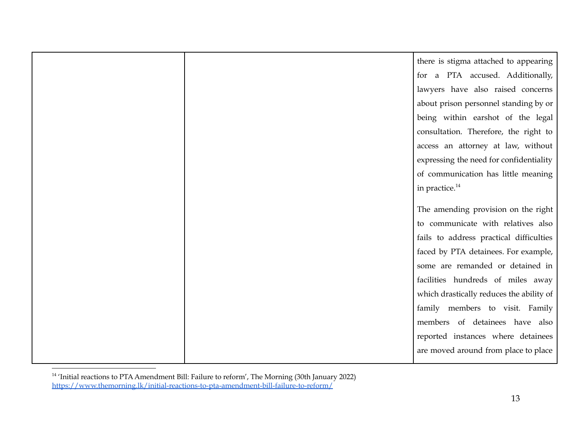|  | there is stigma attached to appearing    |
|--|------------------------------------------|
|  | for a PTA accused. Additionally,         |
|  | lawyers have also raised concerns        |
|  | about prison personnel standing by or    |
|  | being within earshot of the legal        |
|  | consultation. Therefore, the right to    |
|  | access an attorney at law, without       |
|  | expressing the need for confidentiality  |
|  | of communication has little meaning      |
|  | in practice. <sup>14</sup>               |
|  |                                          |
|  | The amending provision on the right      |
|  | to communicate with relatives also       |
|  | fails to address practical difficulties  |
|  | faced by PTA detainees. For example,     |
|  | some are remanded or detained in         |
|  | facilities hundreds of miles away        |
|  | which drastically reduces the ability of |
|  | family members to visit. Family          |
|  | members of detainees have also           |
|  | reported instances where detainees       |
|  | are moved around from place to place     |
|  |                                          |

<sup>&</sup>lt;sup>14</sup> 'Initial reactions to PTA Amendment Bill: Failure to reform', The Morning (30th January 2022) <https://www.themorning.lk/initial-reactions-to-pta-amendment-bill-failure-to-reform/>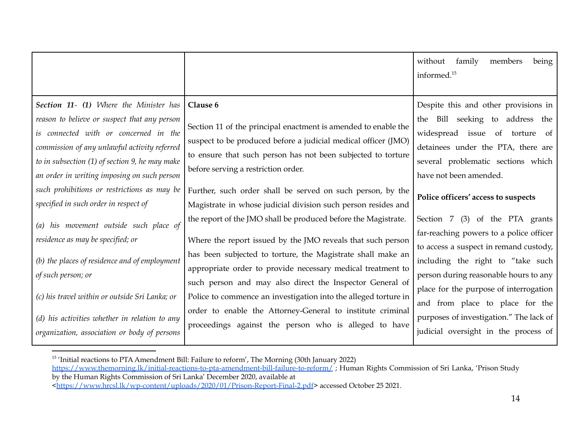|                                                                                                                                                                                                                                                                                  |                                                                                                                                                                                                                                                                                                                         | family<br>without<br>members<br>being<br>informed. <sup>15</sup>                                                                                                                                                |
|----------------------------------------------------------------------------------------------------------------------------------------------------------------------------------------------------------------------------------------------------------------------------------|-------------------------------------------------------------------------------------------------------------------------------------------------------------------------------------------------------------------------------------------------------------------------------------------------------------------------|-----------------------------------------------------------------------------------------------------------------------------------------------------------------------------------------------------------------|
| Section 11- (1) Where the Minister has<br>reason to believe or suspect that any person<br>is connected with or concerned in the<br>commission of any unlawful activity referred<br>to in subsection (1) of section 9, he may make<br>an order in writing imposing on such person | Clause 6<br>Section 11 of the principal enactment is amended to enable the<br>suspect to be produced before a judicial medical officer (JMO)<br>to ensure that such person has not been subjected to torture<br>before serving a restriction order.                                                                     | Despite this and other provisions in<br>the Bill seeking to address the<br>widespread issue of torture of<br>detainees under the PTA, there are<br>several problematic sections which<br>have not been amended. |
| such prohibitions or restrictions as may be<br>specified in such order in respect of                                                                                                                                                                                             | Further, such order shall be served on such person, by the<br>Magistrate in whose judicial division such person resides and                                                                                                                                                                                             | Police officers' access to suspects                                                                                                                                                                             |
| (a) his movement outside such place of<br>residence as may be specified; or<br>(b) the places of residence and of employment<br>of such person; or                                                                                                                               | the report of the JMO shall be produced before the Magistrate.<br>Where the report issued by the JMO reveals that such person<br>has been subjected to torture, the Magistrate shall make an<br>appropriate order to provide necessary medical treatment to<br>such person and may also direct the Inspector General of | Section 7 (3) of the PTA grants<br>far-reaching powers to a police officer<br>to access a suspect in remand custody,<br>including the right to "take such<br>person during reasonable hours to any              |
| (c) his travel within or outside Sri Lanka; or<br>(d) his activities whether in relation to any<br>organization, association or body of persons                                                                                                                                  | Police to commence an investigation into the alleged torture in<br>order to enable the Attorney-General to institute criminal<br>proceedings against the person who is alleged to have                                                                                                                                  | place for the purpose of interrogation<br>and from place to place for the<br>purposes of investigation." The lack of<br>judicial oversight in the process of                                                    |

<sup>&</sup>lt;sup>15</sup> 'Initial reactions to PTA Amendment Bill: Failure to reform', The Morning (30th January 2022)

<https://www.themorning.lk/initial-reactions-to-pta-amendment-bill-failure-to-reform/> ; Human Rights Commission of Sri Lanka, 'Prison Study by the Human Rights Commission of Sri Lanka' December 2020, available at

[<sup>&</sup>lt;https://www.hrcsl.lk/wp-content/uploads/2020/01/Prison-Report-Final-2.pdf](https://www.hrcsl.lk/wp-content/uploads/2020/01/Prison-Report-Final-2.pdf)> accessed October 25 2021.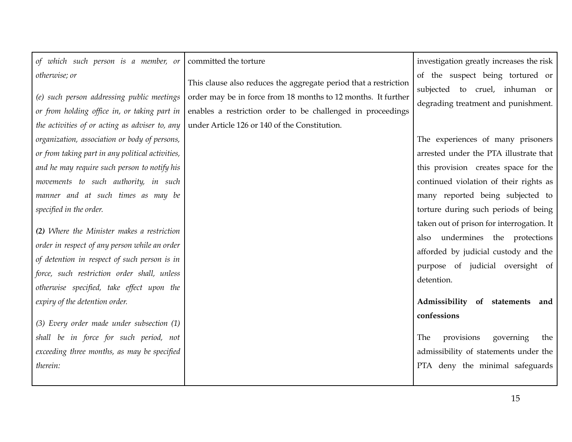| of which such person is a member, or committed the torture                                                                                   |                                                                                                                                                                               | investigation greatly increases the risk                                     |
|----------------------------------------------------------------------------------------------------------------------------------------------|-------------------------------------------------------------------------------------------------------------------------------------------------------------------------------|------------------------------------------------------------------------------|
| otherwise; or                                                                                                                                | This clause also reduces the aggregate period that a restriction                                                                                                              | of the suspect being tortured or                                             |
| (e) such person addressing public meetings<br>or from holding office in, or taking part in<br>the activities of or acting as adviser to, any | order may be in force from 18 months to 12 months. It further<br>enables a restriction order to be challenged in proceedings<br>under Article 126 or 140 of the Constitution. | subjected to cruel, inhuman or<br>degrading treatment and punishment.        |
| organization, association or body of persons,                                                                                                |                                                                                                                                                                               | The experiences of many prisoners                                            |
| or from taking part in any political activities,                                                                                             |                                                                                                                                                                               | arrested under the PTA illustrate that                                       |
| and he may require such person to notify his                                                                                                 |                                                                                                                                                                               | this provision creates space for the                                         |
| movements to such authority, in such                                                                                                         |                                                                                                                                                                               | continued violation of their rights as                                       |
| manner and at such times as may be                                                                                                           |                                                                                                                                                                               | many reported being subjected to                                             |
| specified in the order.                                                                                                                      |                                                                                                                                                                               | torture during such periods of being                                         |
| (2) Where the Minister makes a restriction                                                                                                   |                                                                                                                                                                               | taken out of prison for interrogation. It<br>also undermines the protections |
| order in respect of any person while an order                                                                                                |                                                                                                                                                                               | afforded by judicial custody and the                                         |
| of detention in respect of such person is in                                                                                                 |                                                                                                                                                                               | purpose of judicial oversight of                                             |
| force, such restriction order shall, unless                                                                                                  |                                                                                                                                                                               | detention.                                                                   |
| otherwise specified, take effect upon the                                                                                                    |                                                                                                                                                                               |                                                                              |
| expiry of the detention order.                                                                                                               |                                                                                                                                                                               | Admissibility of statements and                                              |
| (3) Every order made under subsection (1)                                                                                                    |                                                                                                                                                                               | confessions                                                                  |
| shall be in force for such period, not                                                                                                       |                                                                                                                                                                               | provisions<br>The<br>governing<br>the                                        |
| exceeding three months, as may be specified                                                                                                  |                                                                                                                                                                               | admissibility of statements under the                                        |
| therein:                                                                                                                                     |                                                                                                                                                                               | PTA deny the minimal safeguards                                              |
|                                                                                                                                              |                                                                                                                                                                               |                                                                              |
|                                                                                                                                              |                                                                                                                                                                               |                                                                              |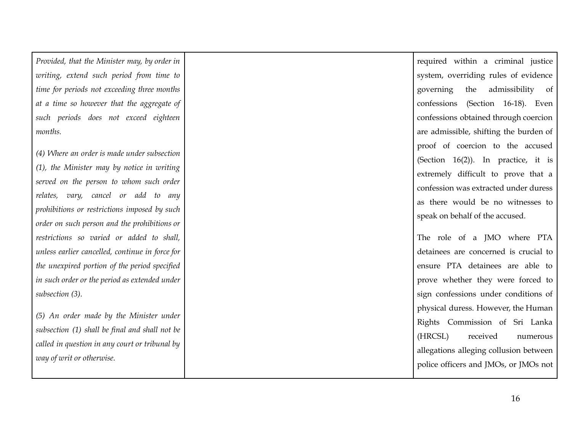Provided, that the Minister may, by order in writing, extend such period from time to time for periods not exceeding three months at a time so however that the aggregate of such periods does not exceed eighteen *m o n t h s.*

(4) Where an order is made under subsection (1), the Minister may by notice in writing served on the person to whom such order relates, vary, cancel or add to any prohibitions or restrictions imposed by such order on such person and the prohibitions or restrictions so varied or added to shall, unless earlier cancelled, continue in force for the unexpired portion of the period specified in such order or the period as extended under *subsection* (3). *ester may, by order in*<br> *eriod from time to*<br> *e.* reacting three months<br>
that the aggregate of<br>
rot exceed eighteen<br>
by notice in arriting<br>
to whom such order<br>
to read to any<br>
to read to any<br>
for and to any<br>
for a data

(5) An order made by the Minister under subsection (1) shall be final and shall not be called in question in any court or tribunal by *way of writ or otherwise* 

equired within a criminal justice system, overriding rules of evidence governing t h e admissibility of confessions (Section 16-18). Even confessions obtained through coercion are admissible, shifting the burden of proof of coercion to the accused (Section  $16(2)$ ). In practice, it is extremely difficult to prove that a confession was extracted under duress as there would be no witnesses to speak on behalf of the accused.

The role of a JMO wher e P TA detainees are concerned is crucial to ensure PTA detainees are able to prove whether they were forced to sign confessions under conditions of physical duress. However, the Human Rights Commission of Sri Lanka (HRCSL) received numerous allegations alleging collusion between police officers and JMOs, or JMOs not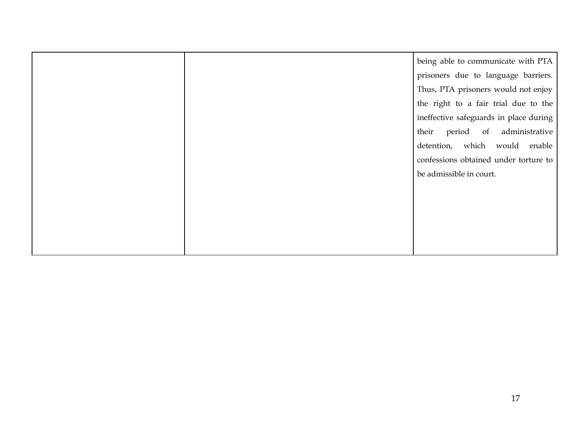|  | being able to communicate with PTA     |
|--|----------------------------------------|
|  | prisoners due to language barriers.    |
|  | Thus, PTA prisoners would not enjoy    |
|  | the right to a fair trial due to the   |
|  | ineffective safeguards in place during |
|  | their period of administrative         |
|  | detention, which would enable          |
|  | confessions obtained under torture to  |
|  | be admissible in court.                |
|  |                                        |
|  |                                        |
|  |                                        |
|  |                                        |
|  |                                        |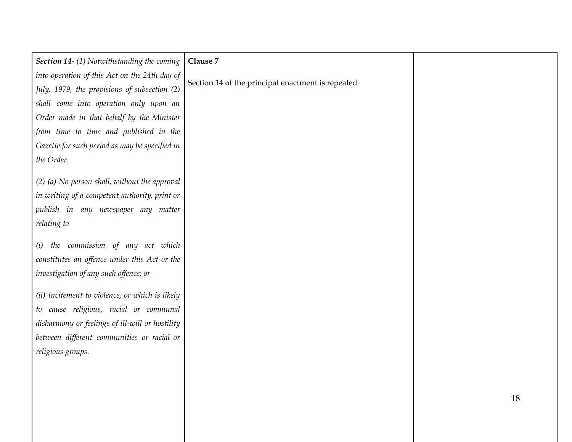| Section 14- (1) Notwithstanding the coming      | Clause 7                                          |    |
|-------------------------------------------------|---------------------------------------------------|----|
| into operation of this Act on the 24th day of   |                                                   |    |
| July, 1979, the provisions of subsection (2)    | Section 14 of the principal enactment is repealed |    |
| shall come into operation only upon an          |                                                   |    |
| Order made in that behalf by the Minister       |                                                   |    |
| from time to time and published in the          |                                                   |    |
| Gazette for such period as may be specified in  |                                                   |    |
| the Order.                                      |                                                   |    |
|                                                 |                                                   |    |
| (2) (a) No person shall, without the approval   |                                                   |    |
| in writing of a competent authority, print or   |                                                   |    |
| publish in any newspaper any matter             |                                                   |    |
| relating to                                     |                                                   |    |
| (i) the commission of any act which             |                                                   |    |
| constitutes an offence under this Act or the    |                                                   |    |
| investigation of any such offence; or           |                                                   |    |
|                                                 |                                                   |    |
| (ii) incitement to violence, or which is likely |                                                   |    |
| to cause religious, racial or communal          |                                                   |    |
| disharmony or feelings of ill-will or hostility |                                                   |    |
| between different communities or racial or      |                                                   |    |
| religious groups.                               |                                                   |    |
|                                                 |                                                   |    |
|                                                 |                                                   |    |
|                                                 |                                                   | 18 |
|                                                 |                                                   |    |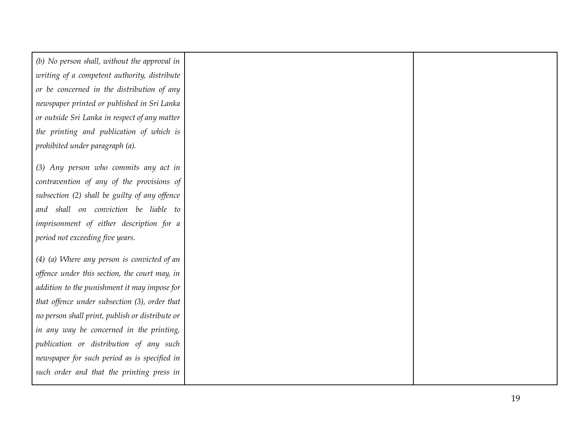(b) No person shall, without the approval in writing of a competent authority, distribute or be concerned in the distribution of any newspaper printed or published in Sri Lanka or outside Sri Lanka in respect of any matter the printing and publication of which is *prohibited under paragraph (a).* 

(3) Any person who commits any act in contravention of any of the provisions of subsection (2) shall be guilty of any offence and shall on conviction be liable to imprisonment of either description for a period not exceeding five years.

*(4) (a) Where any person is convicted of an* offence under this section, the court may, in addition to the punishment it may impose for that offence under subsection (3), order that no person shall print, publish or distribute or in any way be concerned in the printing, publication or distribution of any such newspaper for such period as is specified in such order and that the printing press in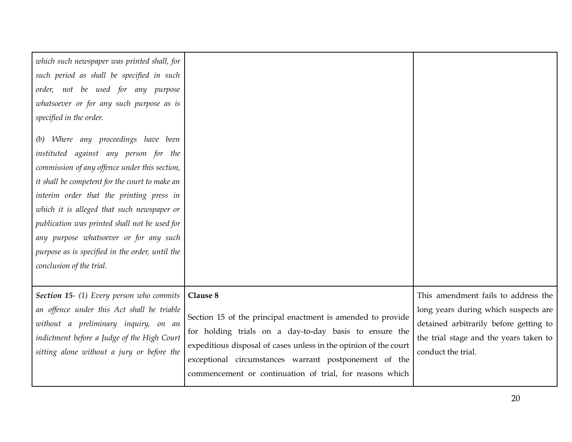| which such newspaper was printed shall, for<br>such period as shall be specified in such<br>order, not be used for any purpose<br>whatsoever or for any such purpose as is<br>specified in the order.<br>(b) Where any proceedings have been<br>instituted against any person for the<br>commission of any offence under this section,<br>it shall be competent for the court to make an<br>interim order that the printing press in<br>which it is alleged that such newspaper or<br>publication was printed shall not be used for<br>any purpose whatsoever or for any such<br>purpose as is specified in the order, until the<br>conclusion of the trial. |                                                                                                                                                                                                                                                                                                                            |                                                                                                                                                                                       |
|--------------------------------------------------------------------------------------------------------------------------------------------------------------------------------------------------------------------------------------------------------------------------------------------------------------------------------------------------------------------------------------------------------------------------------------------------------------------------------------------------------------------------------------------------------------------------------------------------------------------------------------------------------------|----------------------------------------------------------------------------------------------------------------------------------------------------------------------------------------------------------------------------------------------------------------------------------------------------------------------------|---------------------------------------------------------------------------------------------------------------------------------------------------------------------------------------|
| <b>Section 15-</b> (1) Every person who commits<br>an offence under this Act shall be triable<br>without a preliminary inquiry, on an<br>indictment before a Judge of the High Court<br>sitting alone without a jury or before the                                                                                                                                                                                                                                                                                                                                                                                                                           | Clause 8<br>Section 15 of the principal enactment is amended to provide<br>for holding trials on a day-to-day basis to ensure the<br>expeditious disposal of cases unless in the opinion of the court<br>exceptional circumstances warrant postponement of the<br>commencement or continuation of trial, for reasons which | This amendment fails to address the<br>long years during which suspects are<br>detained arbitrarily before getting to<br>the trial stage and the years taken to<br>conduct the trial. |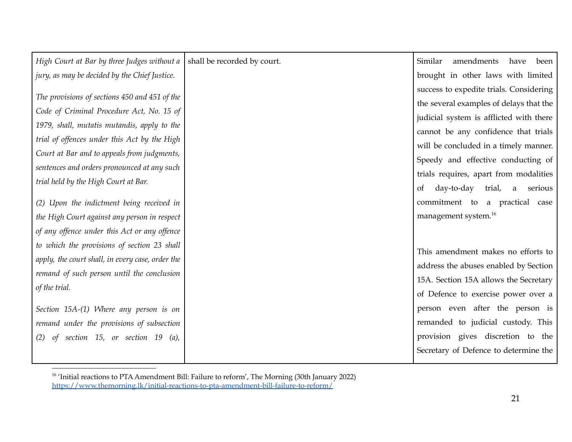| High Court at Bar by three Judges without a $\vert$ shall be recorded by court.                                                                                                                                                          | amendments<br>Similar<br>have<br>been                                                                                                                                                                                                                |
|------------------------------------------------------------------------------------------------------------------------------------------------------------------------------------------------------------------------------------------|------------------------------------------------------------------------------------------------------------------------------------------------------------------------------------------------------------------------------------------------------|
| jury, as may be decided by the Chief Justice.                                                                                                                                                                                            | brought in other laws with limited                                                                                                                                                                                                                   |
| The provisions of sections 450 and 451 of the<br>Code of Criminal Procedure Act, No. 15 of<br>1979, shall, mutatis mutandis, apply to the<br>trial of offences under this Act by the High<br>Court at Bar and to appeals from judgments, | success to expedite trials. Considering<br>the several examples of delays that the<br>judicial system is afflicted with there<br>cannot be any confidence that trials<br>will be concluded in a timely manner.<br>Speedy and effective conducting of |
| sentences and orders pronounced at any such<br>trial held by the High Court at Bar.                                                                                                                                                      | trials requires, apart from modalities<br>day-to-day<br>trial,<br>οf<br>serious<br>a                                                                                                                                                                 |
| (2) Upon the indictment being received in                                                                                                                                                                                                | commitment to a practical case                                                                                                                                                                                                                       |
| the High Court against any person in respect                                                                                                                                                                                             | management system. <sup>16</sup>                                                                                                                                                                                                                     |
| of any offence under this Act or any offence                                                                                                                                                                                             |                                                                                                                                                                                                                                                      |
| to which the provisions of section 23 shall<br>apply, the court shall, in every case, order the<br>remand of such person until the conclusion                                                                                            | This amendment makes no efforts to<br>address the abuses enabled by Section<br>15A. Section 15A allows the Secretary                                                                                                                                 |
| of the trial.                                                                                                                                                                                                                            | of Defence to exercise power over a                                                                                                                                                                                                                  |
| Section 15A-(1) Where any person is on<br>remand under the provisions of subsection                                                                                                                                                      | person even after the person is<br>remanded to judicial custody. This                                                                                                                                                                                |
| of section 15, or section 19 (a),<br>(2)                                                                                                                                                                                                 | provision gives discretion to the<br>Secretary of Defence to determine the                                                                                                                                                                           |

<sup>&</sup>lt;sup>16</sup> 'Initial reactions to PTA Amendment Bill: Failure to reform', The Morning (30th January 2022) <https://www.themorning.lk/initial-reactions-to-pta-amendment-bill-failure-to-reform/>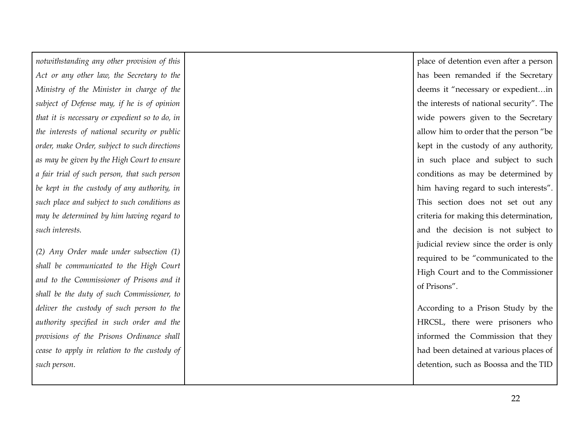notwithstanding any other provision of this Act or any other law, the Secretary to the Ministry of the Minister in charge of the subject of Defense may, if he is of opinion that it is necessary or expedient so to do, in the interests of national security or public order, make Order, subject to such directions as may be given by the High Court to ensure a fair trial of such person, that such person be kept in the custody of any authority, in such place and subject to such conditions as may be determined by him having regard to *s u c h i n t e re s t s.* ming any other provision of this<br>
y other law, the Secretary to the<br>
Defense may, if he is of opinion<br>
Defense may, if he is of opinion<br>  $P$ <br>
Defense may, if he is of opinion<br>
eccessary or expedient so to do, in<br>
the Corde

(2) Any Order made under subsection (1) shall be communicated to the High Court and to the Commissioner of Prisons and it shall be the duty of such Commissioner, to deliver the custody of such person to the authority specified in such order and the provisions of the Prisons Ordinance shall cease to apply in relation to the custody of *such persor* 

lace of detention even after a person has been remanded if the Secretary deems it "necessary or expedient...in the interests of national security". The wide powers given to the Secretary allow him to order that the person "be kept in the custody of any authority, in such place and subject to such conditions as may be determined by him having regard to such interests". This section does not set out any criteria for making this determination, and the decision is not subject to judicial review since the order is only required to be "communicated to the High Court and to the Commissioner of Prisons".

According to a Prison Study by the HRCSL, there were prisoners who informed the Commission that they had been detained at various places of detention, such as Boossa and the TID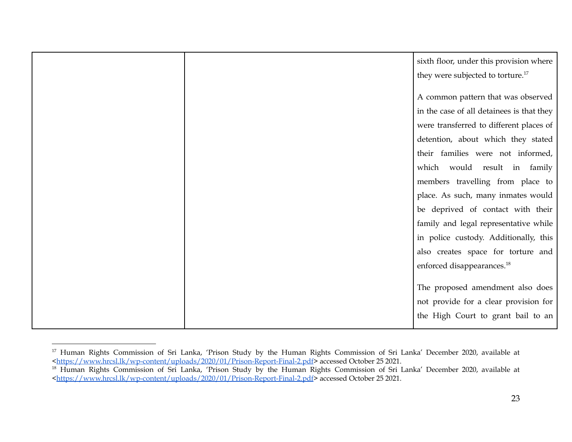|  | sixth floor, under this provision where       |
|--|-----------------------------------------------|
|  | they were subjected to torture. <sup>17</sup> |
|  |                                               |
|  | A common pattern that was observed            |
|  | in the case of all detainees is that they     |
|  | were transferred to different places of       |
|  | detention, about which they stated            |
|  | their families were not informed,             |
|  | which would result in family                  |
|  | members travelling from place to              |
|  | place. As such, many inmates would            |
|  | be deprived of contact with their             |
|  | family and legal representative while         |
|  | in police custody. Additionally, this         |
|  | also creates space for torture and            |
|  | enforced disappearances. <sup>18</sup>        |
|  |                                               |
|  | The proposed amendment also does              |
|  | not provide for a clear provision for         |
|  | the High Court to grant bail to an            |
|  |                                               |

<sup>&</sup>lt;sup>17</sup> Human Rights Commission of Sri Lanka, 'Prison Study by the Human Rights Commission of Sri Lanka' December 2020, available at [<https://www.hrcsl.lk/wp-content/uploads/2020/01/Prison-Report-Final-2.pdf](https://www.hrcsl.lk/wp-content/uploads/2020/01/Prison-Report-Final-2.pdf)> accessed October 25 2021.

<sup>&</sup>lt;sup>18</sup> Human Rights Commission of Sri Lanka, 'Prison Study by the Human Rights Commission of Sri Lanka' December 2020, available at [<https://www.hrcsl.lk/wp-content/uploads/2020/01/Prison-Report-Final-2.pdf](https://www.hrcsl.lk/wp-content/uploads/2020/01/Prison-Report-Final-2.pdf)> accessed October 25 2021.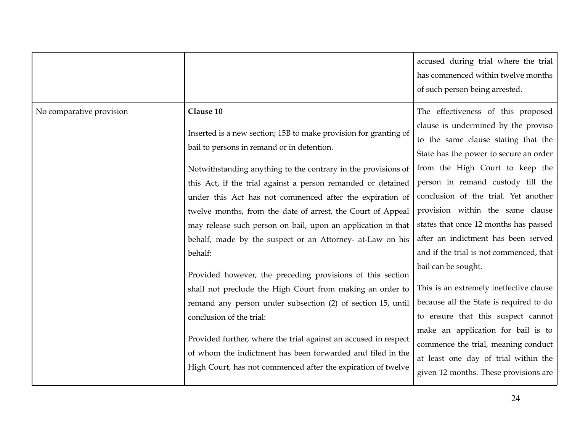|                          |                                                                                                                                                                                                                                                                                                                                                                                                                                                                                                                                                                                                                                                                                                                                                                                                                                                                                                                                                        | accused during trial where the trial<br>has commenced within twelve months<br>of such person being arrested.                                                                                                                                                                                                                                                                                                                                                                                                                                                                                                                                                                                                                                               |
|--------------------------|--------------------------------------------------------------------------------------------------------------------------------------------------------------------------------------------------------------------------------------------------------------------------------------------------------------------------------------------------------------------------------------------------------------------------------------------------------------------------------------------------------------------------------------------------------------------------------------------------------------------------------------------------------------------------------------------------------------------------------------------------------------------------------------------------------------------------------------------------------------------------------------------------------------------------------------------------------|------------------------------------------------------------------------------------------------------------------------------------------------------------------------------------------------------------------------------------------------------------------------------------------------------------------------------------------------------------------------------------------------------------------------------------------------------------------------------------------------------------------------------------------------------------------------------------------------------------------------------------------------------------------------------------------------------------------------------------------------------------|
| No comparative provision | Clause 10<br>Inserted is a new section; 15B to make provision for granting of<br>bail to persons in remand or in detention.<br>Notwithstanding anything to the contrary in the provisions of<br>this Act, if the trial against a person remanded or detained<br>under this Act has not commenced after the expiration of<br>twelve months, from the date of arrest, the Court of Appeal<br>may release such person on bail, upon an application in that<br>behalf, made by the suspect or an Attorney- at-Law on his<br>behalf:<br>Provided however, the preceding provisions of this section<br>shall not preclude the High Court from making an order to<br>remand any person under subsection (2) of section 15, until<br>conclusion of the trial:<br>Provided further, where the trial against an accused in respect<br>of whom the indictment has been forwarded and filed in the<br>High Court, has not commenced after the expiration of twelve | The effectiveness of this proposed<br>clause is undermined by the proviso<br>to the same clause stating that the<br>State has the power to secure an order<br>from the High Court to keep the<br>person in remand custody till the<br>conclusion of the trial. Yet another<br>provision within the same clause<br>states that once 12 months has passed<br>after an indictment has been served<br>and if the trial is not commenced, that<br>bail can be sought.<br>This is an extremely ineffective clause<br>because all the State is required to do<br>to ensure that this suspect cannot<br>make an application for bail is to<br>commence the trial, meaning conduct<br>at least one day of trial within the<br>given 12 months. These provisions are |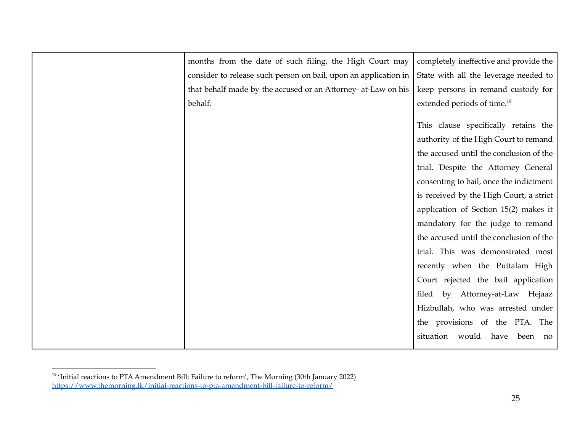| months from the date of such filing, the High Court may         | completely ineffective and provide the   |
|-----------------------------------------------------------------|------------------------------------------|
| consider to release such person on bail, upon an application in | State with all the leverage needed to    |
| that behalf made by the accused or an Attorney- at-Law on his   | keep persons in remand custody for       |
| behalf.                                                         | extended periods of time. <sup>19</sup>  |
|                                                                 |                                          |
|                                                                 | This clause specifically retains the     |
|                                                                 | authority of the High Court to remand    |
|                                                                 | the accused until the conclusion of the  |
|                                                                 | trial. Despite the Attorney General      |
|                                                                 | consenting to bail, once the indictment  |
|                                                                 | is received by the High Court, a strict  |
|                                                                 | application of Section 15(2) makes it    |
|                                                                 | mandatory for the judge to remand        |
|                                                                 | the accused until the conclusion of the  |
|                                                                 | trial. This was demonstrated most        |
|                                                                 | recently when the Puttalam High          |
|                                                                 | Court rejected the bail application      |
|                                                                 | filed by Attorney-at-Law Hejaaz          |
|                                                                 | Hizbullah, who was arrested under        |
|                                                                 | the provisions of the PTA. The           |
|                                                                 | would<br>situation<br>have<br>been<br>no |
|                                                                 |                                          |

<sup>&</sup>lt;sup>19</sup> 'Initial reactions to PTA Amendment Bill: Failure to reform', The Morning (30th January 2022) <https://www.themorning.lk/initial-reactions-to-pta-amendment-bill-failure-to-reform/>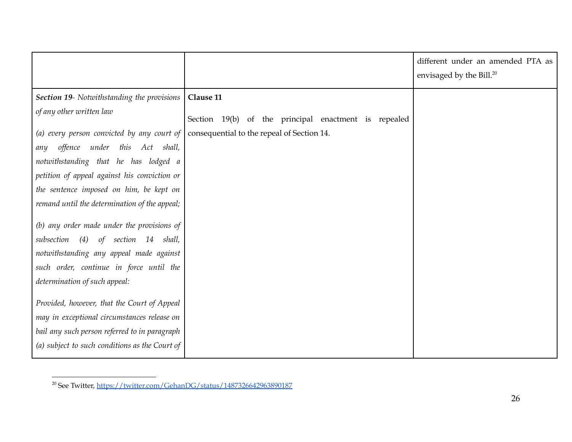|                                                    |                                                      | different under an amended PTA as<br>envisaged by the Bill. <sup>20</sup> |
|----------------------------------------------------|------------------------------------------------------|---------------------------------------------------------------------------|
| <b>Section 19-</b> Notwithstanding the provisions  | Clause 11                                            |                                                                           |
| of any other written law                           | Section 19(b) of the principal enactment is repealed |                                                                           |
| (a) every person convicted by any court of $\vert$ | consequential to the repeal of Section 14.           |                                                                           |
| offence<br>under this Act shall,<br>any            |                                                      |                                                                           |
| notwithstanding that he has lodged a               |                                                      |                                                                           |
| petition of appeal against his conviction or       |                                                      |                                                                           |
| the sentence imposed on him, be kept on            |                                                      |                                                                           |
| remand until the determination of the appeal;      |                                                      |                                                                           |
| (b) any order made under the provisions of         |                                                      |                                                                           |
| (4)<br>of section 14 shall,<br>subsection          |                                                      |                                                                           |
| notwithstanding any appeal made against            |                                                      |                                                                           |
| such order, continue in force until the            |                                                      |                                                                           |
| determination of such appeal:                      |                                                      |                                                                           |
| Provided, however, that the Court of Appeal        |                                                      |                                                                           |
| may in exceptional circumstances release on        |                                                      |                                                                           |
| bail any such person referred to in paragraph      |                                                      |                                                                           |
| (a) subject to such conditions as the Court of     |                                                      |                                                                           |

<sup>&</sup>lt;sup>20</sup> See Twitter, <https://twitter.com/GehanDG/status/1487326642963890187>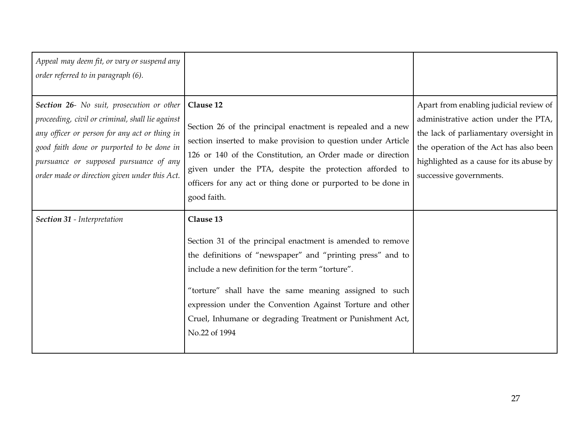| Appeal may deem fit, or vary or suspend any<br>order referred to in paragraph (6).                                                                                                                                                                                                                                     |                                                                                                                                                                                                                                                                                                                                                                                   |                                                                                                                                                                                                                                          |
|------------------------------------------------------------------------------------------------------------------------------------------------------------------------------------------------------------------------------------------------------------------------------------------------------------------------|-----------------------------------------------------------------------------------------------------------------------------------------------------------------------------------------------------------------------------------------------------------------------------------------------------------------------------------------------------------------------------------|------------------------------------------------------------------------------------------------------------------------------------------------------------------------------------------------------------------------------------------|
| Section 26- No suit, prosecution or other<br>proceeding, civil or criminal, shall lie against<br>any officer or person for any act or thing in<br>good faith done or purported to be done in<br>pursuance or supposed pursuance of any<br>order made or direction given under this Act.<br>Section 31 - Interpretation | Clause 12<br>Section 26 of the principal enactment is repealed and a new<br>section inserted to make provision to question under Article<br>126 or 140 of the Constitution, an Order made or direction<br>given under the PTA, despite the protection afforded to<br>officers for any act or thing done or purported to be done in<br>good faith.<br>Clause 13                    | Apart from enabling judicial review of<br>administrative action under the PTA,<br>the lack of parliamentary oversight in<br>the operation of the Act has also been<br>highlighted as a cause for its abuse by<br>successive governments. |
|                                                                                                                                                                                                                                                                                                                        | Section 31 of the principal enactment is amended to remove<br>the definitions of "newspaper" and "printing press" and to<br>include a new definition for the term "torture".<br>"torture" shall have the same meaning assigned to such<br>expression under the Convention Against Torture and other<br>Cruel, Inhumane or degrading Treatment or Punishment Act,<br>No.22 of 1994 |                                                                                                                                                                                                                                          |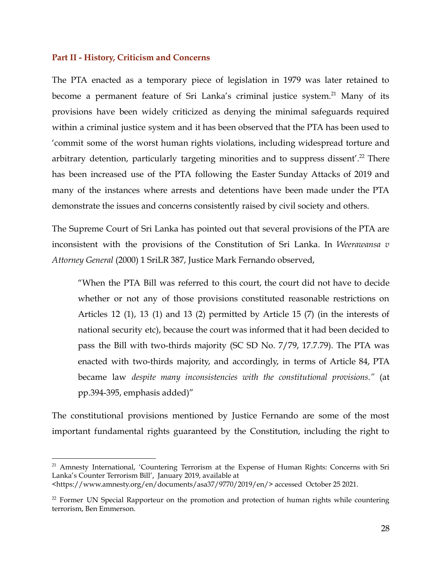#### **Part II - History, Criticism and Concerns**

The PTA enacted as a temporary piece of legislation in 1979 was later retained to become a permanent feature of Sri Lanka's criminal justice system.<sup>21</sup> Many of its provisions have been widely criticized as denying the minimal safeguards required within a criminal justice system and it has been observed that the PTA has been used to 'commit some of the worst human rights violations, including widespread torture and arbitrary detention, particularly targeting minorities and to suppress dissent'.<sup>22</sup> There has been increased use of the PTA following the Easter Sunday Attacks of 2019 and many of the instances where arrests and detentions have been made under the PTA demonstrate the issues and concerns consistently raised by civil society and others.

The Supreme Court of Sri Lanka has pointed out that several provisions of the PTA are inconsistent with the provisions of the Constitution of Sri Lanka. In *Weerawansa v Attorney General* (2000) 1 SriLR 387, Justice Mark Fernando observed,

"When the PTA Bill was referred to this court, the court did not have to decide whether or not any of those provisions constituted reasonable restrictions on Articles 12 (1), 13 (1) and 13 (2) permitted by Article 15 (7) (in the interests of national security etc), because the court was informed that it had been decided to pass the Bill with two-thirds majority (SC SD No. 7/79, 17.7.79). The PTA was enacted with two-thirds majority, and accordingly, in terms of Article 84, PTA became law *despite many inconsistencies with the constitutional provisions."* (at pp.394-395, emphasis added)"

The constitutional provisions mentioned by Justice Fernando are some of the most important fundamental rights guaranteed by the Constitution, including the right to

<sup>&</sup>lt;sup>21</sup> Amnesty International, 'Countering Terrorism at the Expense of Human Rights: Concerns with Sri Lanka's Counter Terrorism Bill', January 2019, available at

<sup>&</sup>lt;https://www.amnesty.org/en/documents/asa37/9770/2019/en/> accessed October 25 2021.

 $22$  Former UN Special Rapporteur on the promotion and protection of human rights while countering terrorism, Ben Emmerson.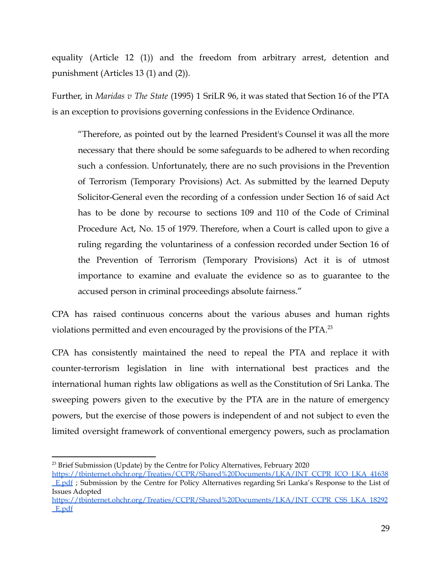equality (Article 12 (1)) and the freedom from arbitrary arrest, detention and punishment (Articles 13 (1) and (2)).

Further, in *Maridas v The State* (1995) 1 SriLR 96, it was stated that Section 16 of the PTA is an exception to provisions governing confessions in the Evidence Ordinance.

"Therefore, as pointed out by the learned President's Counsel it was all the more necessary that there should be some safeguards to be adhered to when recording such a confession. Unfortunately, there are no such provisions in the Prevention of Terrorism (Temporary Provisions) Act. As submitted by the learned Deputy Solicitor-General even the recording of a confession under Section 16 of said Act has to be done by recourse to sections 109 and 110 of the Code of Criminal Procedure Act, No. 15 of 1979. Therefore, when a Court is called upon to give a ruling regarding the voluntariness of a confession recorded under Section 16 of the Prevention of Terrorism (Temporary Provisions) Act it is of utmost importance to examine and evaluate the evidence so as to guarantee to the accused person in criminal proceedings absolute fairness."

CPA has raised continuous concerns about the various abuses and human rights violations permitted and even encouraged by the provisions of the PTA.<sup>23</sup>

CPA has consistently maintained the need to repeal the PTA and replace it with counter-terrorism legislation in line with international best practices and the international human rights law obligations as well as the Constitution of Sri Lanka. The sweeping powers given to the executive by the PTA are in the nature of emergency powers, but the exercise of those powers is independent of and not subject to even the limited oversight framework of conventional emergency powers, such as proclamation

 $23$  Brief Submission (Update) by the Centre for Policy Alternatives, February 2020

[https://tbinternet.ohchr.org/Treaties/CCPR/Shared%20Documents/LKA/INT\\_CCPR\\_ICO\\_LKA\\_41638](https://tbinternet.ohchr.org/Treaties/CCPR/Shared%20Documents/LKA/INT_CCPR_ICO_LKA_41638_E.pdf) [\\_E.pdf](https://tbinternet.ohchr.org/Treaties/CCPR/Shared%20Documents/LKA/INT_CCPR_ICO_LKA_41638_E.pdf) ; Submission by the Centre for Policy Alternatives regarding Sri Lanka's Response to the List of Issues Adopted

[https://tbinternet.ohchr.org/Treaties/CCPR/Shared%20Documents/LKA/INT\\_CCPR\\_CSS\\_LKA\\_18292](https://tbinternet.ohchr.org/Treaties/CCPR/Shared%20Documents/LKA/INT_CCPR_CSS_LKA_18292_E.pdf) [\\_E.pdf](https://tbinternet.ohchr.org/Treaties/CCPR/Shared%20Documents/LKA/INT_CCPR_CSS_LKA_18292_E.pdf)